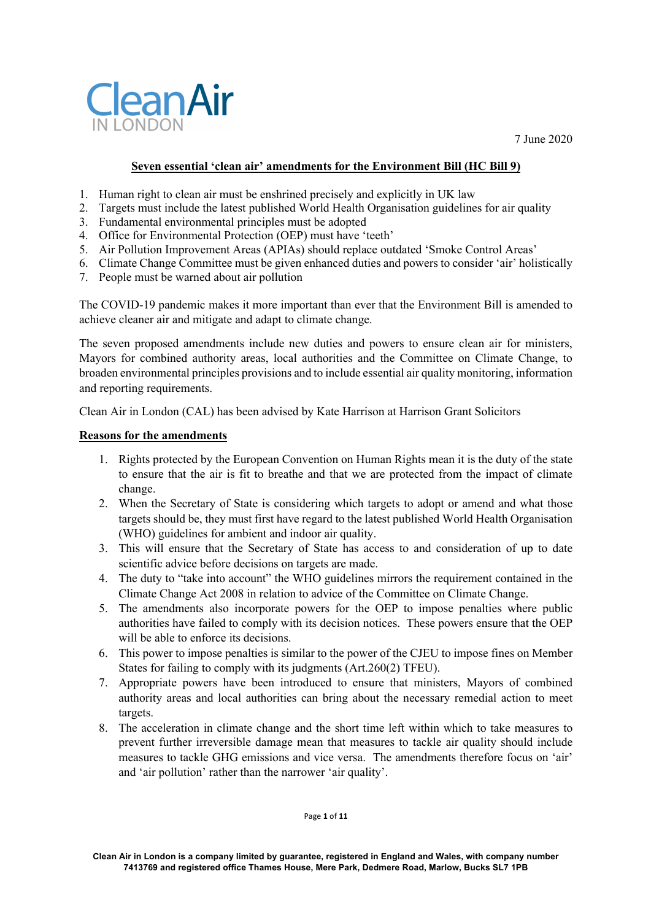



# **Seven essential 'clean air' amendments for the Environment Bill (HC Bill 9)**

- 1. Human right to clean air must be enshrined precisely and explicitly in UK law
- 2. Targets must include the latest published World Health Organisation guidelines for air quality
- 3. Fundamental environmental principles must be adopted
- 4. Office for Environmental Protection (OEP) must have 'teeth'
- 5. Air Pollution Improvement Areas (APIAs) should replace outdated 'Smoke Control Areas'
- 6. Climate Change Committee must be given enhanced duties and powers to consider 'air' holistically
- 7. People must be warned about air pollution

The COVID-19 pandemic makes it more important than ever that the Environment Bill is amended to achieve cleaner air and mitigate and adapt to climate change.

The seven proposed amendments include new duties and powers to ensure clean air for ministers, Mayors for combined authority areas, local authorities and the Committee on Climate Change, to broaden environmental principles provisions and to include essential air quality monitoring, information and reporting requirements.

Clean Air in London (CAL) has been advised by Kate Harrison at Harrison Grant Solicitors

### **Reasons for the amendments**

- 1. Rights protected by the European Convention on Human Rights mean it is the duty of the state to ensure that the air is fit to breathe and that we are protected from the impact of climate change.
- 2. When the Secretary of State is considering which targets to adopt or amend and what those targets should be, they must first have regard to the latest published World Health Organisation (WHO) guidelines for ambient and indoor air quality.
- 3. This will ensure that the Secretary of State has access to and consideration of up to date scientific advice before decisions on targets are made.
- 4. The duty to "take into account" the WHO guidelines mirrors the requirement contained in the Climate Change Act 2008 in relation to advice of the Committee on Climate Change.
- 5. The amendments also incorporate powers for the OEP to impose penalties where public authorities have failed to comply with its decision notices. These powers ensure that the OEP will be able to enforce its decisions.
- 6. This power to impose penalties is similar to the power of the CJEU to impose fines on Member States for failing to comply with its judgments (Art.260(2) TFEU).
- 7. Appropriate powers have been introduced to ensure that ministers, Mayors of combined authority areas and local authorities can bring about the necessary remedial action to meet targets.
- 8. The acceleration in climate change and the short time left within which to take measures to prevent further irreversible damage mean that measures to tackle air quality should include measures to tackle GHG emissions and vice versa. The amendments therefore focus on 'air' and 'air pollution' rather than the narrower 'air quality'.

Page **1** of **11**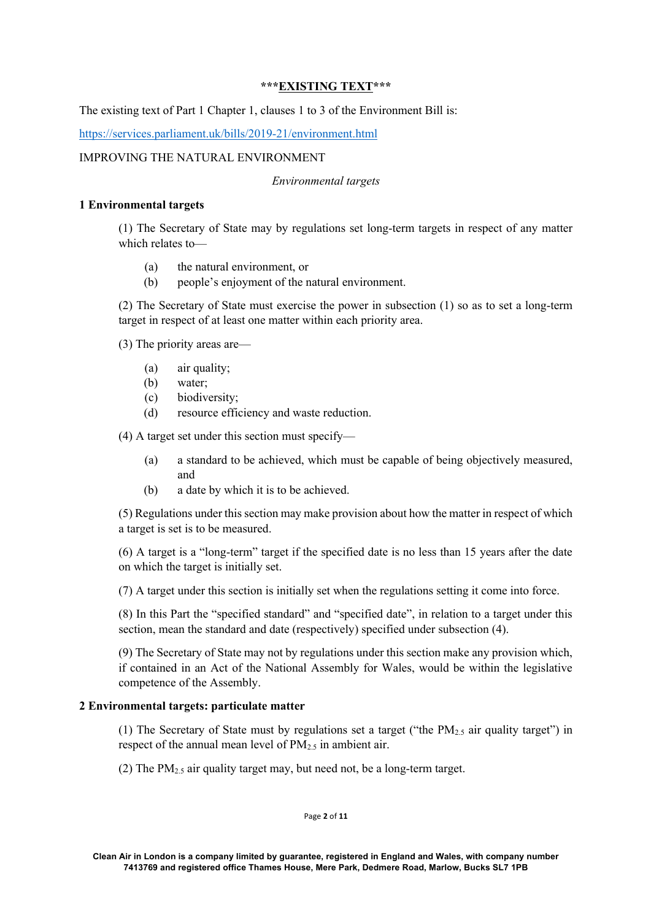# **\*\*\*EXISTING TEXT\*\*\***

The existing text of Part 1 Chapter 1, clauses 1 to 3 of the Environment Bill is:

https://services.parliament.uk/bills/2019-21/environment.html

# IMPROVING THE NATURAL ENVIRONMENT

### *Environmental targets*

### **1 Environmental targets**

(1) The Secretary of State may by regulations set long-term targets in respect of any matter which relates to—

- (a) the natural environment, or
- (b) people's enjoyment of the natural environment.

(2) The Secretary of State must exercise the power in subsection (1) so as to set a long-term target in respect of at least one matter within each priority area.

(3) The priority areas are—

- (a) air quality;
- (b) water;
- (c) biodiversity;
- (d) resource efficiency and waste reduction.

(4) A target set under this section must specify—

- (a) a standard to be achieved, which must be capable of being objectively measured, and
- (b) a date by which it is to be achieved.

(5) Regulations under this section may make provision about how the matter in respect of which a target is set is to be measured.

(6) A target is a "long-term" target if the specified date is no less than 15 years after the date on which the target is initially set.

(7) A target under this section is initially set when the regulations setting it come into force.

(8) In this Part the "specified standard" and "specified date", in relation to a target under this section, mean the standard and date (respectively) specified under subsection (4).

(9) The Secretary of State may not by regulations under this section make any provision which, if contained in an Act of the National Assembly for Wales, would be within the legislative competence of the Assembly.

### **2 Environmental targets: particulate matter**

(1) The Secretary of State must by regulations set a target ("the  $PM_{2.5}$  air quality target") in respect of the annual mean level of  $PM_2$ , in ambient air.

(2) The  $PM<sub>2.5</sub>$  air quality target may, but need not, be a long-term target.

Page **2** of **11**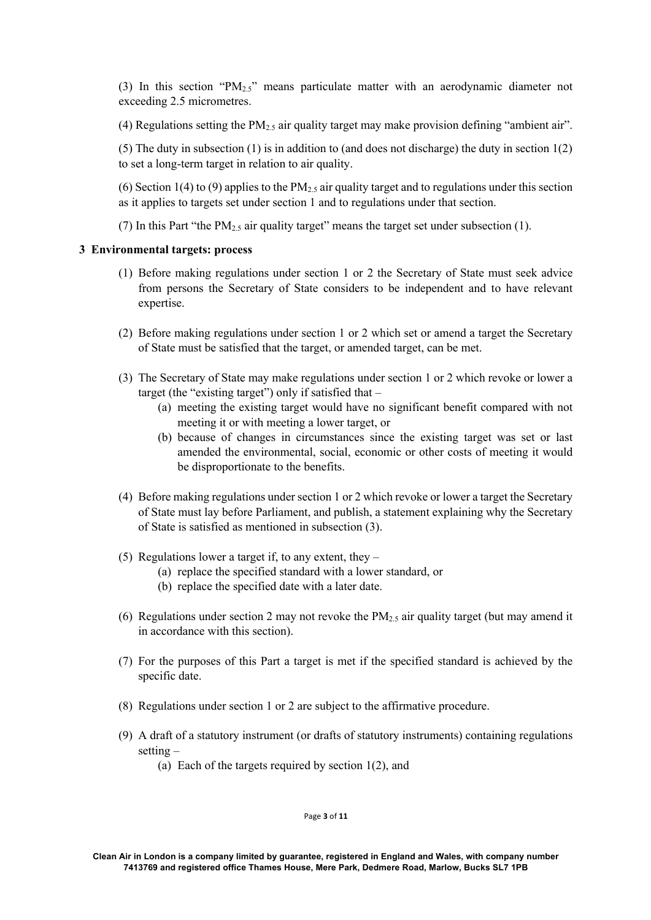(3) In this section "PM2.5" means particulate matter with an aerodynamic diameter not exceeding 2.5 micrometres.

(4) Regulations setting the  $PM<sub>2.5</sub>$  air quality target may make provision defining "ambient air".

(5) The duty in subsection (1) is in addition to (and does not discharge) the duty in section 1(2) to set a long-term target in relation to air quality.

(6) Section 1(4) to (9) applies to the PM<sub>2.5</sub> air quality target and to regulations under this section as it applies to targets set under section 1 and to regulations under that section.

(7) In this Part "the  $PM_{2,5}$  air quality target" means the target set under subsection (1).

### **3 Environmental targets: process**

- (1) Before making regulations under section 1 or 2 the Secretary of State must seek advice from persons the Secretary of State considers to be independent and to have relevant expertise.
- (2) Before making regulations under section 1 or 2 which set or amend a target the Secretary of State must be satisfied that the target, or amended target, can be met.
- (3) The Secretary of State may make regulations under section 1 or 2 which revoke or lower a target (the "existing target") only if satisfied that –
	- (a) meeting the existing target would have no significant benefit compared with not meeting it or with meeting a lower target, or
	- (b) because of changes in circumstances since the existing target was set or last amended the environmental, social, economic or other costs of meeting it would be disproportionate to the benefits.
- (4) Before making regulations under section 1 or 2 which revoke or lower a target the Secretary of State must lay before Parliament, and publish, a statement explaining why the Secretary of State is satisfied as mentioned in subsection (3).
- (5) Regulations lower a target if, to any extent, they  $-$ 
	- (a) replace the specified standard with a lower standard, or
		- (b) replace the specified date with a later date.
- (6) Regulations under section 2 may not revoke the  $PM_2$ , air quality target (but may amend it in accordance with this section).
- (7) For the purposes of this Part a target is met if the specified standard is achieved by the specific date.
- (8) Regulations under section 1 or 2 are subject to the affirmative procedure.
- (9) A draft of a statutory instrument (or drafts of statutory instruments) containing regulations setting –
	- (a) Each of the targets required by section 1(2), and

### Page **3** of **11**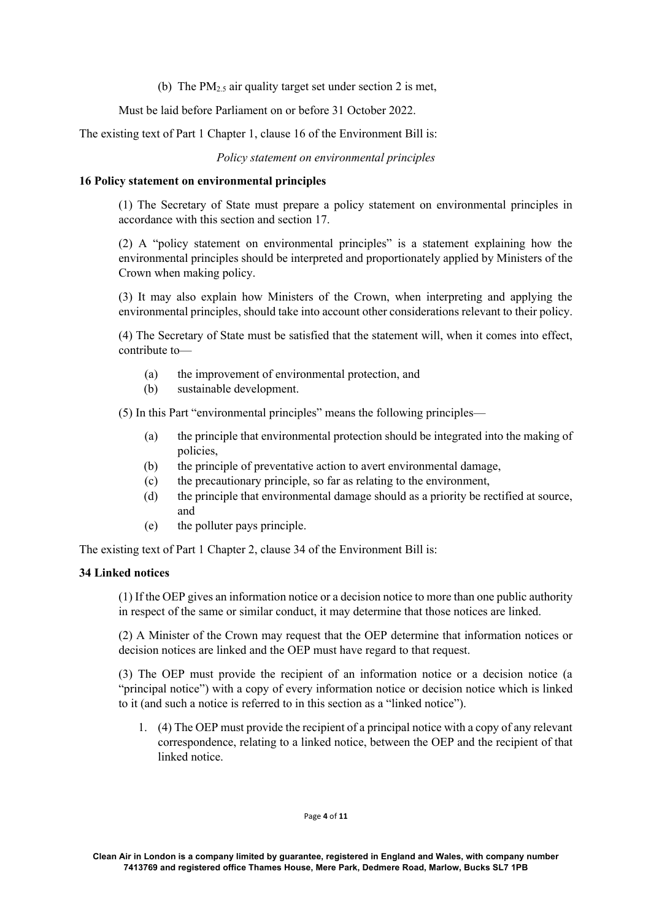(b) The  $PM<sub>2.5</sub>$  air quality target set under section 2 is met,

Must be laid before Parliament on or before 31 October 2022.

The existing text of Part 1 Chapter 1, clause 16 of the Environment Bill is:

*Policy statement on environmental principles*

### **16 Policy statement on environmental principles**

(1) The Secretary of State must prepare a policy statement on environmental principles in accordance with this section and section 17.

(2) A "policy statement on environmental principles" is a statement explaining how the environmental principles should be interpreted and proportionately applied by Ministers of the Crown when making policy.

(3) It may also explain how Ministers of the Crown, when interpreting and applying the environmental principles, should take into account other considerations relevant to their policy.

(4) The Secretary of State must be satisfied that the statement will, when it comes into effect, contribute to—

- (a) the improvement of environmental protection, and
- (b) sustainable development.

(5) In this Part "environmental principles" means the following principles—

- (a) the principle that environmental protection should be integrated into the making of policies,
- (b) the principle of preventative action to avert environmental damage,
- (c) the precautionary principle, so far as relating to the environment,
- (d) the principle that environmental damage should as a priority be rectified at source, and
- (e) the polluter pays principle.

The existing text of Part 1 Chapter 2, clause 34 of the Environment Bill is:

### **34 Linked notices**

(1) If the OEP gives an information notice or a decision notice to more than one public authority in respect of the same or similar conduct, it may determine that those notices are linked.

(2) A Minister of the Crown may request that the OEP determine that information notices or decision notices are linked and the OEP must have regard to that request.

(3) The OEP must provide the recipient of an information notice or a decision notice (a "principal notice") with a copy of every information notice or decision notice which is linked to it (and such a notice is referred to in this section as a "linked notice").

1. (4) The OEP must provide the recipient of a principal notice with a copy of any relevant correspondence, relating to a linked notice, between the OEP and the recipient of that linked notice.

#### Page **4** of **11**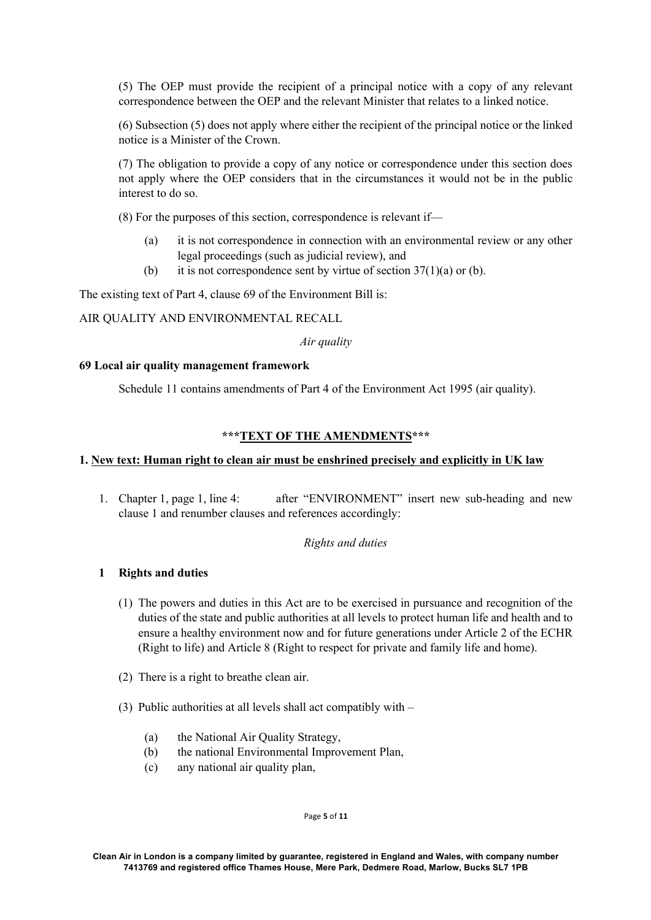(5) The OEP must provide the recipient of a principal notice with a copy of any relevant correspondence between the OEP and the relevant Minister that relates to a linked notice.

(6) Subsection (5) does not apply where either the recipient of the principal notice or the linked notice is a Minister of the Crown.

(7) The obligation to provide a copy of any notice or correspondence under this section does not apply where the OEP considers that in the circumstances it would not be in the public interest to do so.

(8) For the purposes of this section, correspondence is relevant if—

- (a) it is not correspondence in connection with an environmental review or any other legal proceedings (such as judicial review), and
- (b) it is not correspondence sent by virtue of section  $37(1)(a)$  or (b).

The existing text of Part 4, clause 69 of the Environment Bill is:

AIR QUALITY AND ENVIRONMENTAL RECALL

*Air quality*

# **69 Local air quality management framework**

Schedule 11 contains amendments of Part 4 of the Environment Act 1995 (air quality).

# **\*\*\*TEXT OF THE AMENDMENTS\*\*\***

# **1. New text: Human right to clean air must be enshrined precisely and explicitly in UK law**

1. Chapter 1, page 1, line 4: after "ENVIRONMENT" insert new sub-heading and new clause 1 and renumber clauses and references accordingly:

### *Rights and duties*

# **1 Rights and duties**

- (1) The powers and duties in this Act are to be exercised in pursuance and recognition of the duties of the state and public authorities at all levels to protect human life and health and to ensure a healthy environment now and for future generations under Article 2 of the ECHR (Right to life) and Article 8 (Right to respect for private and family life and home).
- (2) There is a right to breathe clean air.
- (3) Public authorities at all levels shall act compatibly with
	- (a) the National Air Quality Strategy,
	- (b) the national Environmental Improvement Plan,
	- (c) any national air quality plan,

Page **5** of **11**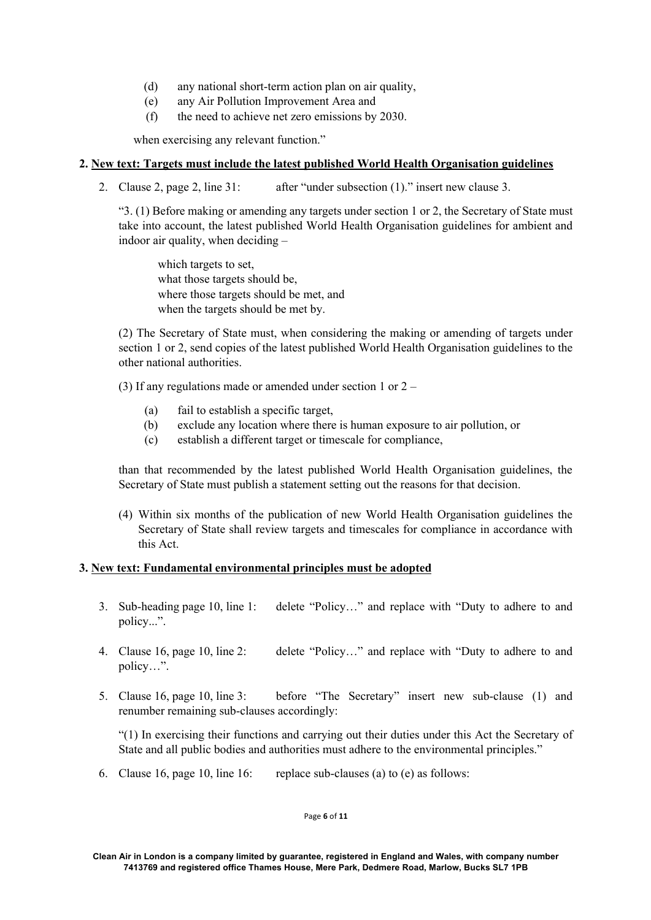- (d) any national short-term action plan on air quality,
- (e) any Air Pollution Improvement Area and
- (f) the need to achieve net zero emissions by 2030.

when exercising any relevant function."

# **2. New text: Targets must include the latest published World Health Organisation guidelines**

2. Clause 2, page 2, line 31: after "under subsection (1)." insert new clause 3.

"3. (1) Before making or amending any targets under section 1 or 2, the Secretary of State must take into account, the latest published World Health Organisation guidelines for ambient and indoor air quality, when deciding –

which targets to set, what those targets should be, where those targets should be met, and when the targets should be met by.

(2) The Secretary of State must, when considering the making or amending of targets under section 1 or 2, send copies of the latest published World Health Organisation guidelines to the other national authorities.

(3) If any regulations made or amended under section 1 or  $2 -$ 

- (a) fail to establish a specific target,
- (b) exclude any location where there is human exposure to air pollution, or
- (c) establish a different target or timescale for compliance,

than that recommended by the latest published World Health Organisation guidelines, the Secretary of State must publish a statement setting out the reasons for that decision.

(4) Within six months of the publication of new World Health Organisation guidelines the Secretary of State shall review targets and timescales for compliance in accordance with this Act.

### **3. New text: Fundamental environmental principles must be adopted**

- 3. Sub-heading page 10, line 1: delete "Policy…" and replace with "Duty to adhere to and policy...".
- 4. Clause 16, page 10, line 2: delete "Policy..." and replace with "Duty to adhere to and policy…".
- 5. Clause 16, page 10, line 3: before "The Secretary" insert new sub-clause (1) and renumber remaining sub-clauses accordingly:

"(1) In exercising their functions and carrying out their duties under this Act the Secretary of State and all public bodies and authorities must adhere to the environmental principles."

6. Clause 16, page 10, line 16: replace sub-clauses (a) to (e) as follows:

#### Page **6** of **11**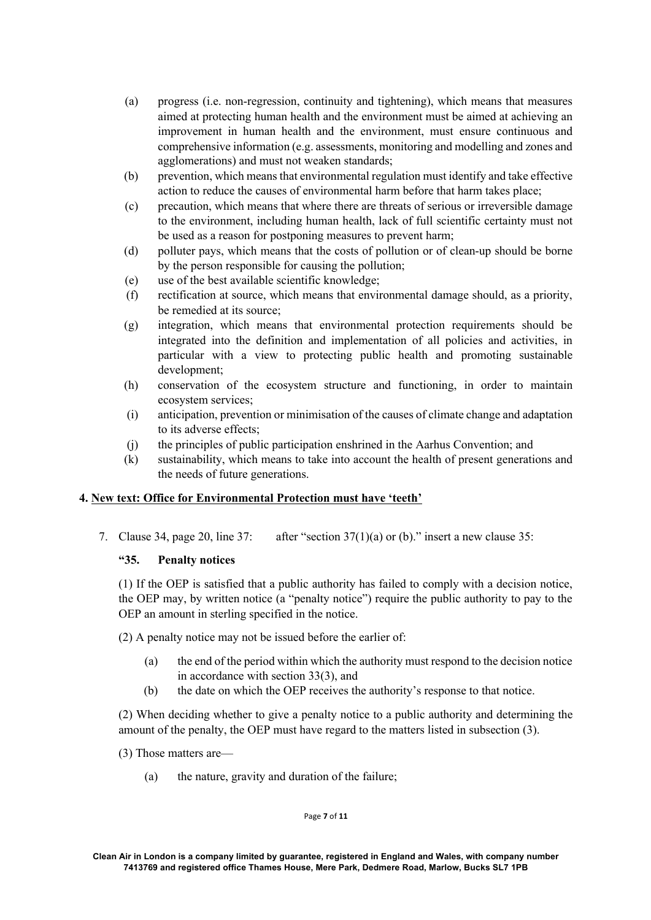- (a) progress (i.e. non-regression, continuity and tightening), which means that measures aimed at protecting human health and the environment must be aimed at achieving an improvement in human health and the environment, must ensure continuous and comprehensive information (e.g. assessments, monitoring and modelling and zones and agglomerations) and must not weaken standards;
- (b) prevention, which means that environmental regulation must identify and take effective action to reduce the causes of environmental harm before that harm takes place;
- (c) precaution, which means that where there are threats of serious or irreversible damage to the environment, including human health, lack of full scientific certainty must not be used as a reason for postponing measures to prevent harm;
- (d) polluter pays, which means that the costs of pollution or of clean-up should be borne by the person responsible for causing the pollution;
- (e) use of the best available scientific knowledge;
- (f) rectification at source, which means that environmental damage should, as a priority, be remedied at its source;
- (g) integration, which means that environmental protection requirements should be integrated into the definition and implementation of all policies and activities, in particular with a view to protecting public health and promoting sustainable development;
- (h) conservation of the ecosystem structure and functioning, in order to maintain ecosystem services;
- (i) anticipation, prevention or minimisation of the causes of climate change and adaptation to its adverse effects;
- (j) the principles of public participation enshrined in the Aarhus Convention; and
- (k) sustainability, which means to take into account the health of present generations and the needs of future generations.

### **4. New text: Office for Environmental Protection must have 'teeth'**

7. Clause 34, page 20, line 37: after "section  $37(1)(a)$  or (b)." insert a new clause 35:

### **"35. Penalty notices**

(1) If the OEP is satisfied that a public authority has failed to comply with a decision notice, the OEP may, by written notice (a "penalty notice") require the public authority to pay to the OEP an amount in sterling specified in the notice.

(2) A penalty notice may not be issued before the earlier of:

- (a) the end of the period within which the authority must respond to the decision notice in accordance with section 33(3), and
- (b) the date on which the OEP receives the authority's response to that notice.

(2) When deciding whether to give a penalty notice to a public authority and determining the amount of the penalty, the OEP must have regard to the matters listed in subsection (3).

(3) Those matters are—

(a) the nature, gravity and duration of the failure;

#### Page **7** of **11**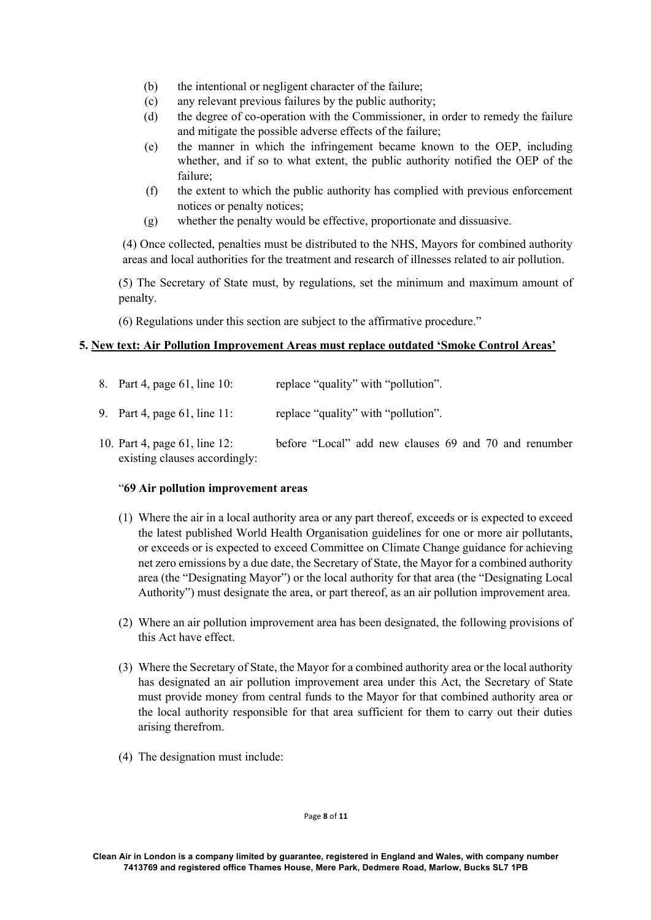- (b) the intentional or negligent character of the failure;
- (c) any relevant previous failures by the public authority;
- (d) the degree of co-operation with the Commissioner, in order to remedy the failure and mitigate the possible adverse effects of the failure;
- (e) the manner in which the infringement became known to the OEP, including whether, and if so to what extent, the public authority notified the OEP of the failure;
- (f) the extent to which the public authority has complied with previous enforcement notices or penalty notices;
- (g) whether the penalty would be effective, proportionate and dissuasive.

(4) Once collected, penalties must be distributed to the NHS, Mayors for combined authority areas and local authorities for the treatment and research of illnesses related to air pollution.

(5) The Secretary of State must, by regulations, set the minimum and maximum amount of penalty.

(6) Regulations under this section are subject to the affirmative procedure."

# **5. New text: Air Pollution Improvement Areas must replace outdated 'Smoke Control Areas'**

8. Part 4, page 61, line 10: replace "quality" with "pollution".

9. Part 4, page 61, line 11: replace "quality" with "pollution".

10. Part 4, page 61, line 12: before "Local" add new clauses 69 and 70 and renumber existing clauses accordingly:

### "**69 Air pollution improvement areas**

- (1) Where the air in a local authority area or any part thereof, exceeds or is expected to exceed the latest published World Health Organisation guidelines for one or more air pollutants, or exceeds or is expected to exceed Committee on Climate Change guidance for achieving net zero emissions by a due date, the Secretary of State, the Mayor for a combined authority area (the "Designating Mayor") or the local authority for that area (the "Designating Local Authority") must designate the area, or part thereof, as an air pollution improvement area.
- (2) Where an air pollution improvement area has been designated, the following provisions of this Act have effect.
- (3) Where the Secretary of State, the Mayor for a combined authority area or the local authority has designated an air pollution improvement area under this Act, the Secretary of State must provide money from central funds to the Mayor for that combined authority area or the local authority responsible for that area sufficient for them to carry out their duties arising therefrom.
- (4) The designation must include:

Page **8** of **11**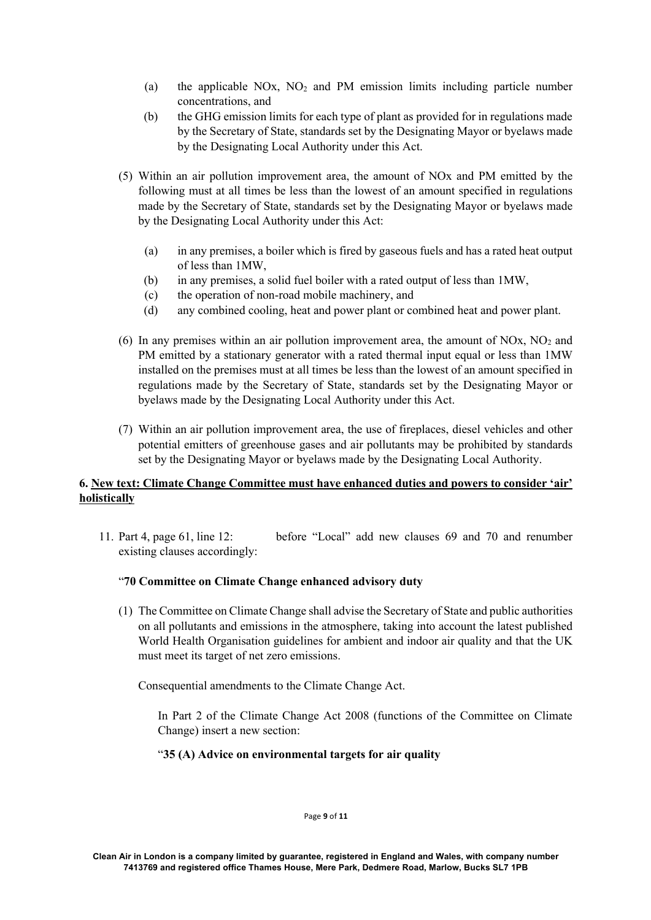- (a) the applicable NOx,  $NO<sub>2</sub>$  and PM emission limits including particle number concentrations, and
- (b) the GHG emission limits for each type of plant as provided for in regulations made by the Secretary of State, standards set by the Designating Mayor or byelaws made by the Designating Local Authority under this Act.
- (5) Within an air pollution improvement area, the amount of NOx and PM emitted by the following must at all times be less than the lowest of an amount specified in regulations made by the Secretary of State, standards set by the Designating Mayor or byelaws made by the Designating Local Authority under this Act:
	- (a) in any premises, a boiler which is fired by gaseous fuels and has a rated heat output of less than 1MW,
	- (b) in any premises, a solid fuel boiler with a rated output of less than 1MW,
	- (c) the operation of non-road mobile machinery, and
	- (d) any combined cooling, heat and power plant or combined heat and power plant.
- (6) In any premises within an air pollution improvement area, the amount of NOx,  $NO<sub>2</sub>$  and PM emitted by a stationary generator with a rated thermal input equal or less than 1MW installed on the premises must at all times be less than the lowest of an amount specified in regulations made by the Secretary of State, standards set by the Designating Mayor or byelaws made by the Designating Local Authority under this Act.
- (7) Within an air pollution improvement area, the use of fireplaces, diesel vehicles and other potential emitters of greenhouse gases and air pollutants may be prohibited by standards set by the Designating Mayor or byelaws made by the Designating Local Authority.

# **6. New text: Climate Change Committee must have enhanced duties and powers to consider 'air' holistically**

11. Part 4, page 61, line 12: before "Local" add new clauses 69 and 70 and renumber existing clauses accordingly:

### "**70 Committee on Climate Change enhanced advisory duty**

(1) The Committee on Climate Change shall advise the Secretary of State and public authorities on all pollutants and emissions in the atmosphere, taking into account the latest published World Health Organisation guidelines for ambient and indoor air quality and that the UK must meet its target of net zero emissions.

Consequential amendments to the Climate Change Act.

In Part 2 of the Climate Change Act 2008 (functions of the Committee on Climate Change) insert a new section:

### "**35 (A) Advice on environmental targets for air quality**

Page **9** of **11**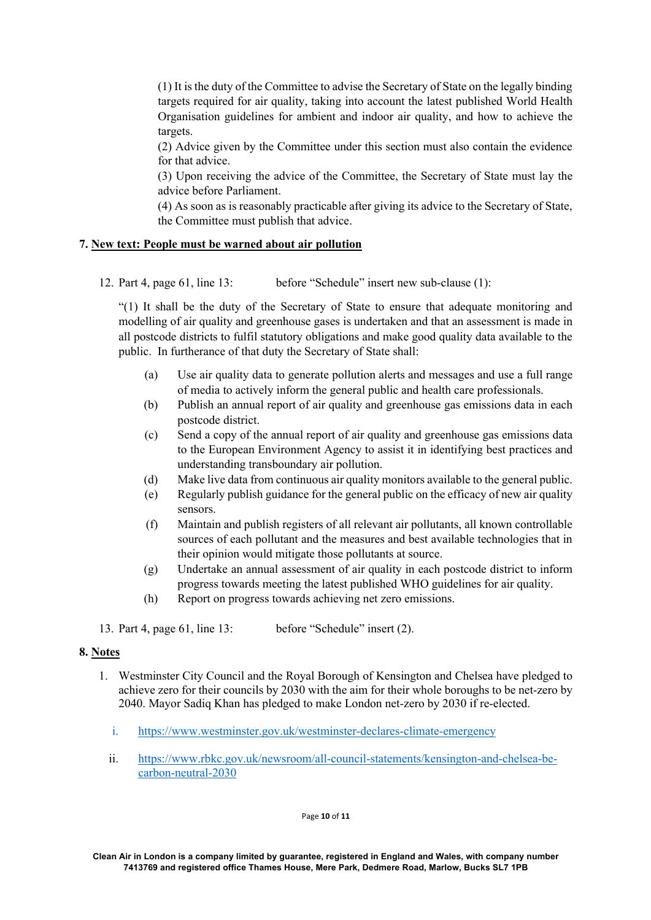(1) It is the duty of the Committee to advise the Secretary of State on the legally binding targets required for air quality, taking into account the latest published World Health Organisation guidelines for ambient and indoor air quality, and how to achieve the targets.

(2) Advice given by the Committee under this section must also contain the evidence for that advice.

(3) Upon receiving the advice of the Committee, the Secretary of State must lay the advice before Parliament.

(4) As soon as is reasonably practicable after giving its advice to the Secretary of State, the Committee must publish that advice.

### **7. New text: People must be warned about air pollution**

12. Part 4, page 61, line 13: before "Schedule" insert new sub-clause (1):

"(1) It shall be the duty of the Secretary of State to ensure that adequate monitoring and modelling of air quality and greenhouse gases is undertaken and that an assessment is made in all postcode districts to fulfil statutory obligations and make good quality data available to the public. In furtherance of that duty the Secretary of State shall:

- (a) Use air quality data to generate pollution alerts and messages and use a full range of media to actively inform the general public and health care professionals.
- (b) Publish an annual report of air quality and greenhouse gas emissions data in each postcode district.
- (c) Send a copy of the annual report of air quality and greenhouse gas emissions data to the European Environment Agency to assist it in identifying best practices and understanding transboundary air pollution.
- (d) Make live data from continuous air quality monitors available to the general public.
- (e) Regularly publish guidance for the general public on the efficacy of new air quality sensors.
- (f) Maintain and publish registers of all relevant air pollutants, all known controllable sources of each pollutant and the measures and best available technologies that in their opinion would mitigate those pollutants at source.
- (g) Undertake an annual assessment of air quality in each postcode district to inform progress towards meeting the latest published WHO guidelines for air quality.
- (h) Report on progress towards achieving net zero emissions.

13. Part 4, page 61, line 13: before "Schedule" insert (2).

# **8. Notes**

- 1. Westminster City Council and the Royal Borough of Kensington and Chelsea have pledged to achieve zero for their councils by 2030 with the aim for their whole boroughs to be net-zero by 2040. Mayor Sadiq Khan has pledged to make London net-zero by 2030 if re-elected.
	- i. https://www.westminster.gov.uk/westminster-declares-climate-emergency
	- ii. https://www.rbkc.gov.uk/newsroom/all-council-statements/kensington-and-chelsea-becarbon-neutral-2030

Page **10** of **11**